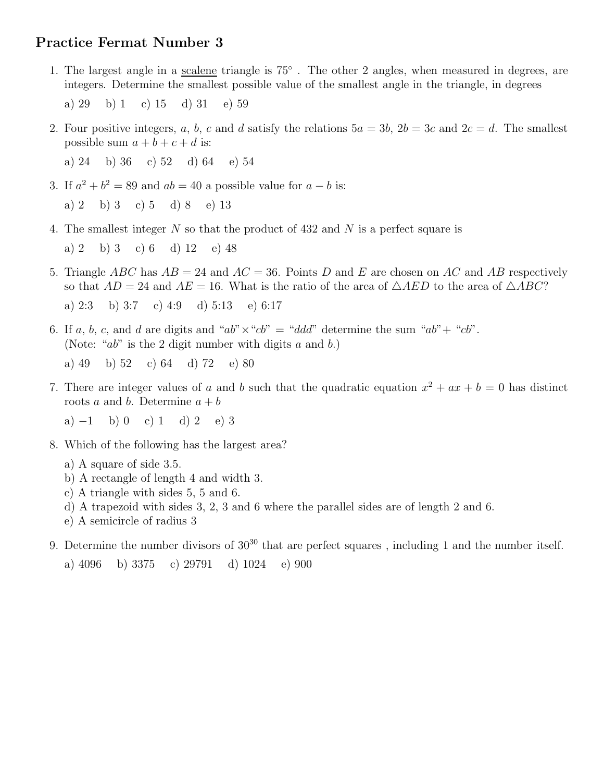## Practice Fermat Number 3

1. The largest angle in a <u>scalene</u> triangle is  $75^\circ$ . The other 2 angles, when measured in degrees, are integers. Determine the smallest possible value of the smallest angle in the triangle, in degrees

a) 29 b) 1 c) 15 d) 31 e) 59

2. Four positive integers, a, b, c and d satisfy the relations  $5a = 3b$ ,  $2b = 3c$  and  $2c = d$ . The smallest possible sum  $a + b + c + d$  is:

a) 24 b) 36 c) 52 d) 64 e) 54

3. If  $a^2 + b^2 = 89$  and  $ab = 40$  a possible value for  $a - b$  is:

a) 2 b) 3 c) 5 d) 8 e) 13

4. The smallest integer N so that the product of 432 and N is a perfect square is

a) 2 b) 3 c) 6 d) 12 e) 48

5. Triangle ABC has  $AB = 24$  and  $AC = 36$ . Points D and E are chosen on AC and AB respectively so that  $AD = 24$  and  $AE = 16$ . What is the ratio of the area of  $\triangle AED$  to the area of  $\triangle ABC$ ?

a)  $2:3$  b)  $3:7$  c)  $4:9$  d)  $5:13$  e)  $6:17$ 

6. If a, b, c, and d are digits and " $ab$ "  $\times$  " $cb$ " = "ddd" determine the sum " $ab$ " + " $cb$ ". (Note: " $ab$ " is the 2 digit number with digits  $a$  and  $b$ .)

a) 49 b) 52 c) 64 d) 72 e) 80

7. There are integer values of a and b such that the quadratic equation  $x^2 + ax + b = 0$  has distinct roots a and b. Determine  $a + b$ 

a)  $-1$  b) 0 c) 1 d) 2 e) 3

- 8. Which of the following has the largest area?
	- a) A square of side 3.5.
	- b) A rectangle of length 4 and width 3.
	- c) A triangle with sides 5, 5 and 6.
	- d) A trapezoid with sides 3, 2, 3 and 6 where the parallel sides are of length 2 and 6.
	- e) A semicircle of radius 3
- 9. Determine the number divisors of  $30^{30}$  that are perfect squares, including 1 and the number itself.

a) 4096 b) 3375 c) 29791 d) 1024 e) 900